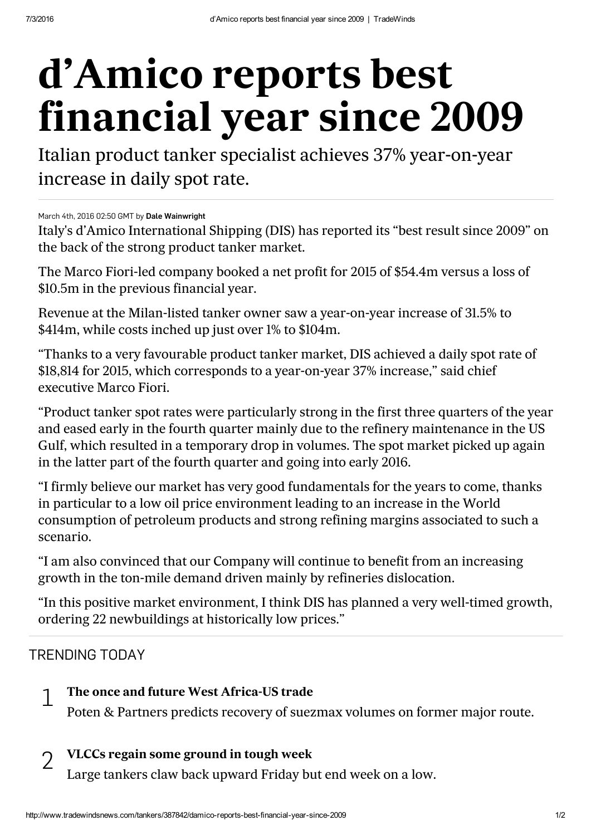# d'Amico reports best financial year since 2009

Italian product tanker specialist achieves 37% year-on-year increase in daily spot rate.

March 4th, 2016 02:50 GMT by Dale [Wainwright](mailto:dale.wainwright@tradewindsnews.com?subject=d%E2%80%99Amico%20reports%20best%20financial%20year%20since%202009)

Italy's d'Amico International Shipping (DIS) has reported its "best result since 2009" on the back of the strong product tanker market.

The Marco Fiori-led company booked a net profit for 2015 of \$54.4m versus a loss of \$10.5m in the previous financial year.

Revenue at the Milan-listed tanker owner saw a year-on-year increase of 31.5% to \$414m, while costs inched up just over 1% to \$104m.

"Thanks to a very favourable product tanker market, DIS achieved a daily spot rate of \$18,814 for 2015, which corresponds to a year-on-year 37% increase," said chief executive Marco Fiori.

"Product tanker spot rates were particularly strong in the first three quarters of the year and eased early in the fourth quarter mainly due to the refinery maintenance in the US Gulf, which resulted in a temporary drop in volumes. The spot market picked up again in the latter part of the fourth quarter and going into early 2016.

"I firmly believe our market has very good fundamentals for the years to come, thanks in particular to a low oil price environment leading to an increase in the World consumption of petroleum products and strong refining margins associated to such a scenario.

"I am also convinced that our Company will continue to benefit from an increasing growth in the ton-mile demand driven mainly by refineries dislocation.

"In this positive market environment, I think DIS has planned a very well-timed growth, ordering 22 newbuildings at historically low prices."

## TRENDING TODAY

#### The once and future West [Africa-US](http://www.tradewindsnews.com/tankers/387899/the-once-and-future-west-africa-us-trade) trade 1

Poten & Partners predicts recovery of suezmax volumes on former major route.

#### VLCCs regain some [ground](http://www.tradewindsnews.com/tankers/387886/vlccs-regain-some-ground-in-tough-week) in tough week  $\overline{\mathcal{L}}$

Large tankers claw back upward Friday but end week on a low.